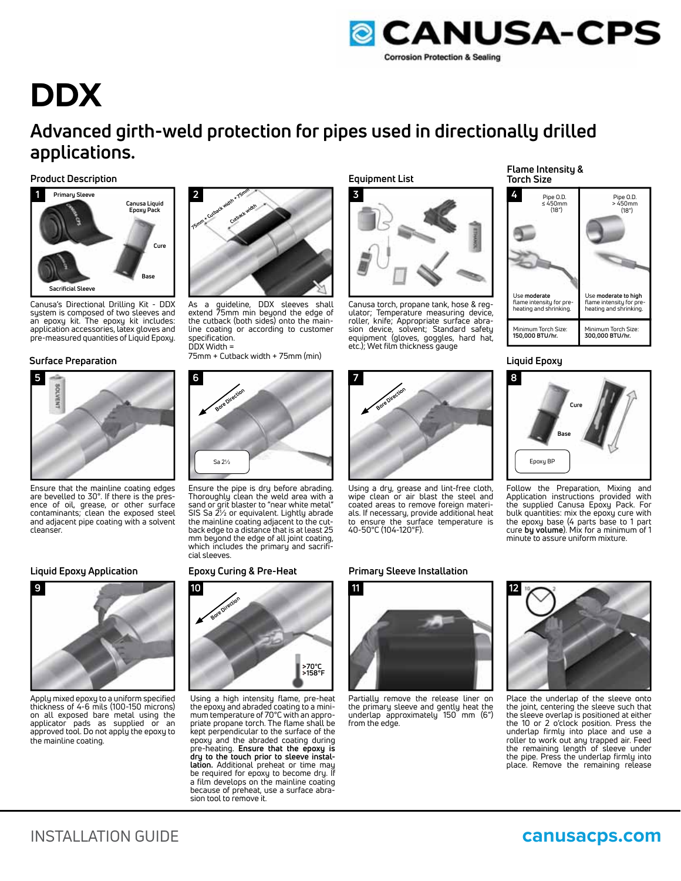

# **DDX**

## **Advanced girth-weld protection for pipes used in directionally drilled applications.**

**Product Description**



Canusa's Directional Drilling Kit - DDX system is composed of two sleeves and an epoxy kit. The epoxy kit includes: application accessories, latex gloves and pre-measured quantities of Liquid Epoxy.

#### **Surface Preparation Liquid Epoxy**



Ensure that the mainline coating edges are bevelled to 30°. If there is the presence of oil, grease, or other surface contaminants; clean the exposed steel and adjacent pipe coating with a solvent cleanser.

#### **Liquid Epoxy Application Epoxy Curing & Pre-Heat**



Apply mixed epoxy to a uniform specified thickness of 4-6 mils (100-150 microns) on all exposed bare metal using the applicator pads as supplied or an approved tool. Do not apply the epoxy to the mainline coating.



As a guideline, DDX sleeves shall extend 75mm min beyond the edge of the cutback (both sides) onto the mainline coating or according to customer specification. DDX Width =

75mm + Cutback width + 75mm (min)



Ensure the pipe is dry before abrading. Thoroughly clean the weld area with a sand or grit blaster to "near white metal" SIS Sa 2½ or equivalent. Lightly abrade the mainline coating adjacent to the cutback edge to a distance that is at least 25 mm beyond the edge of all joint coating, which includes the primary and sacrificial sleeves.



Using a high intensity flame, pre-heat the epoxy and abraded coating to a minimum temperature of 70°C with an appropriate propane torch. The flame shall be kept perpendicular to the surface of the epoxy and the abraded coating during pre-heating. **Ensure that the epoxy is dry to the touch prior to sleeve installation.** Additional preheat or time may be required for epoxy to become dry. If a film develops on the mainline coating because of preheat, use a surface abrasion tool to remove it.

**Equipment List**



Canusa torch, propane tank, hose & regulator; Temperature measuring device, roller, knife; Appropriate surface abrasion device, solvent; Standard safety equipment (gloves, goggles, hard hat, etc.); Wet film thickness gauge



Using a dry, grease and lint-free cloth, wipe clean or air blast the steel and coated areas to remove foreign materials. If necessary, provide additional heat to ensure the surface temperature is 40-50°C (104-120°F).

#### **Primary Sleeve Installation**



Partially remove the release liner on the primary sleeve and gently heat the underlap approximately 150 mm (6") from the edge.

#### **Flame Intensity & Torch Size**





Follow the Preparation, Mixing and Application instructions provided with the supplied Canusa Epoxy Pack. For bulk quantities: mix the epoxy cure with the epoxy base (4 parts base to 1 part cure **by volume**). Mix for a minimum of 1 minute to assure uniform mixture.



Place the underlap of the sleeve onto the joint, centering the sleeve such that the sleeve overlap is positioned at either the 10 or 2 o'clock position. Press the underlap firmly into place and use a roller to work out any trapped air. Feed the remaining length of sleeve under the pipe. Press the underlap firmly into place. Remove the remaining release